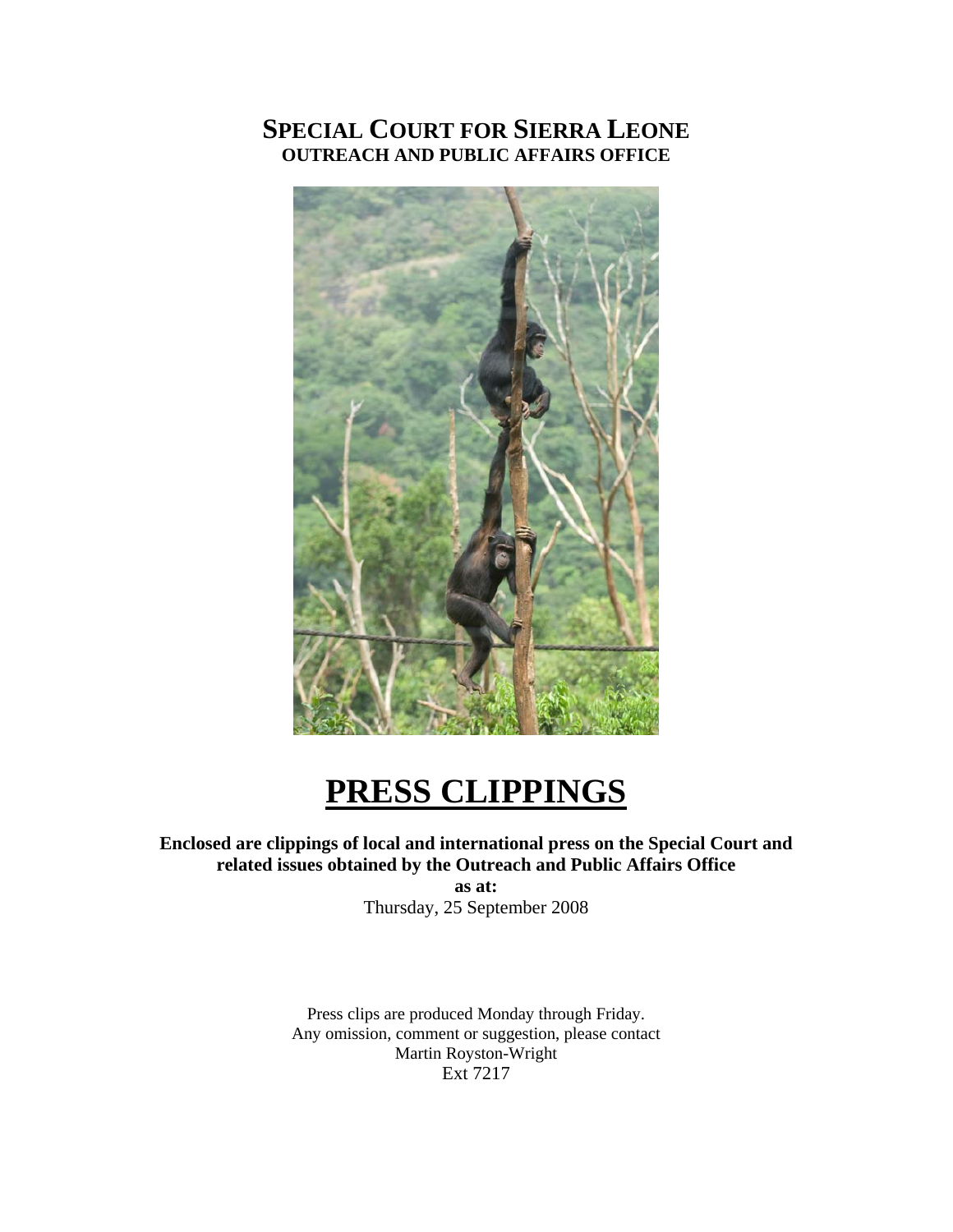# **SPECIAL COURT FOR SIERRA LEONE OUTREACH AND PUBLIC AFFAIRS OFFICE**



# **PRESS CLIPPINGS**

# **Enclosed are clippings of local and international press on the Special Court and related issues obtained by the Outreach and Public Affairs Office**

**as at:**  Thursday, 25 September 2008

Press clips are produced Monday through Friday. Any omission, comment or suggestion, please contact Martin Royston-Wright Ext 7217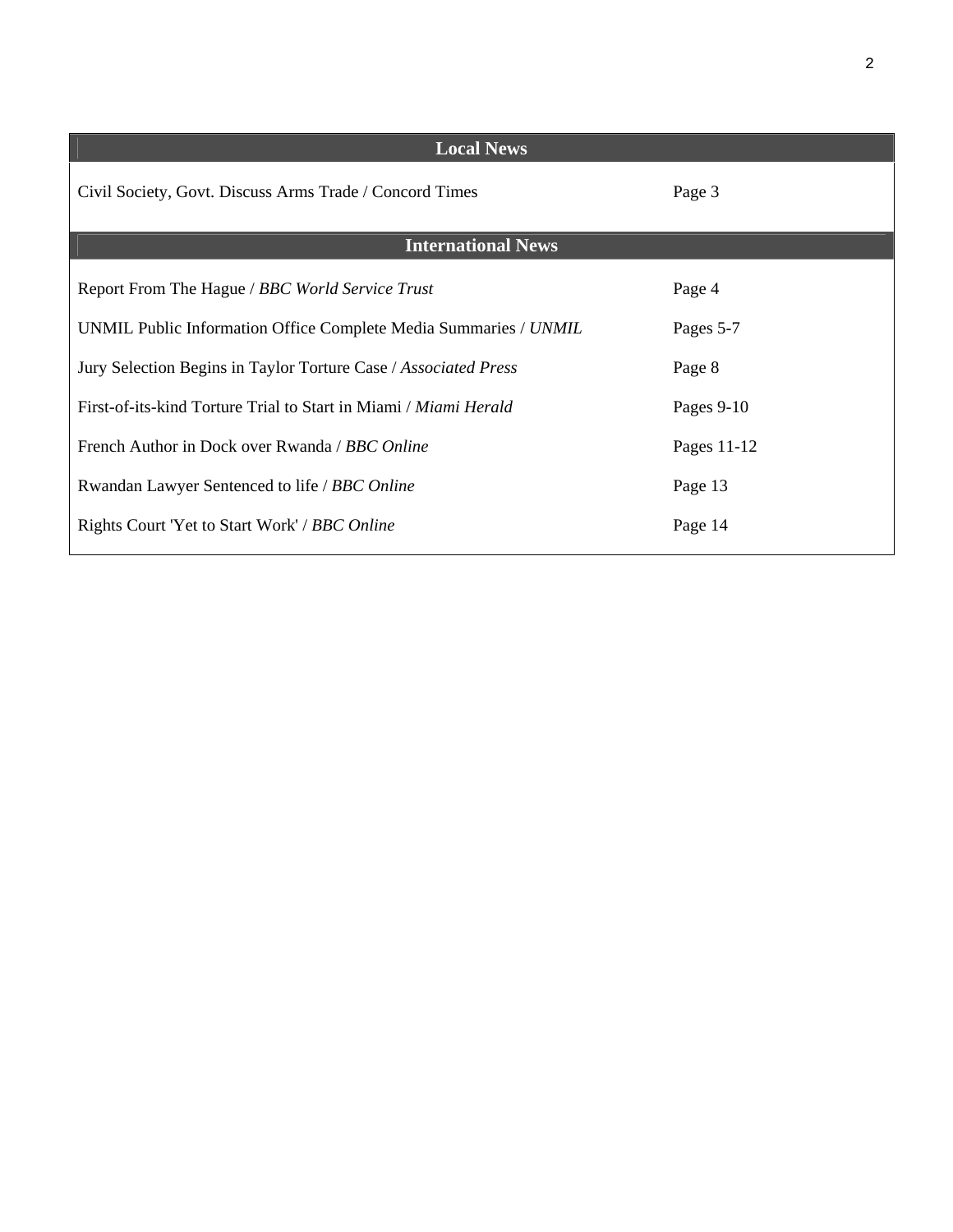| <b>Local News</b>                                                |             |
|------------------------------------------------------------------|-------------|
| Civil Society, Govt. Discuss Arms Trade / Concord Times          | Page 3      |
| <b>International News</b>                                        |             |
| Report From The Hague / BBC World Service Trust                  | Page 4      |
| UNMIL Public Information Office Complete Media Summaries / UNMIL | Pages 5-7   |
| Jury Selection Begins in Taylor Torture Case / Associated Press  | Page 8      |
| First-of-its-kind Torture Trial to Start in Miami / Miami Herald | Pages 9-10  |
| French Author in Dock over Rwanda / BBC Online                   | Pages 11-12 |
| Rwandan Lawyer Sentenced to life / BBC Online                    | Page 13     |
| Rights Court 'Yet to Start Work' / BBC Online                    | Page 14     |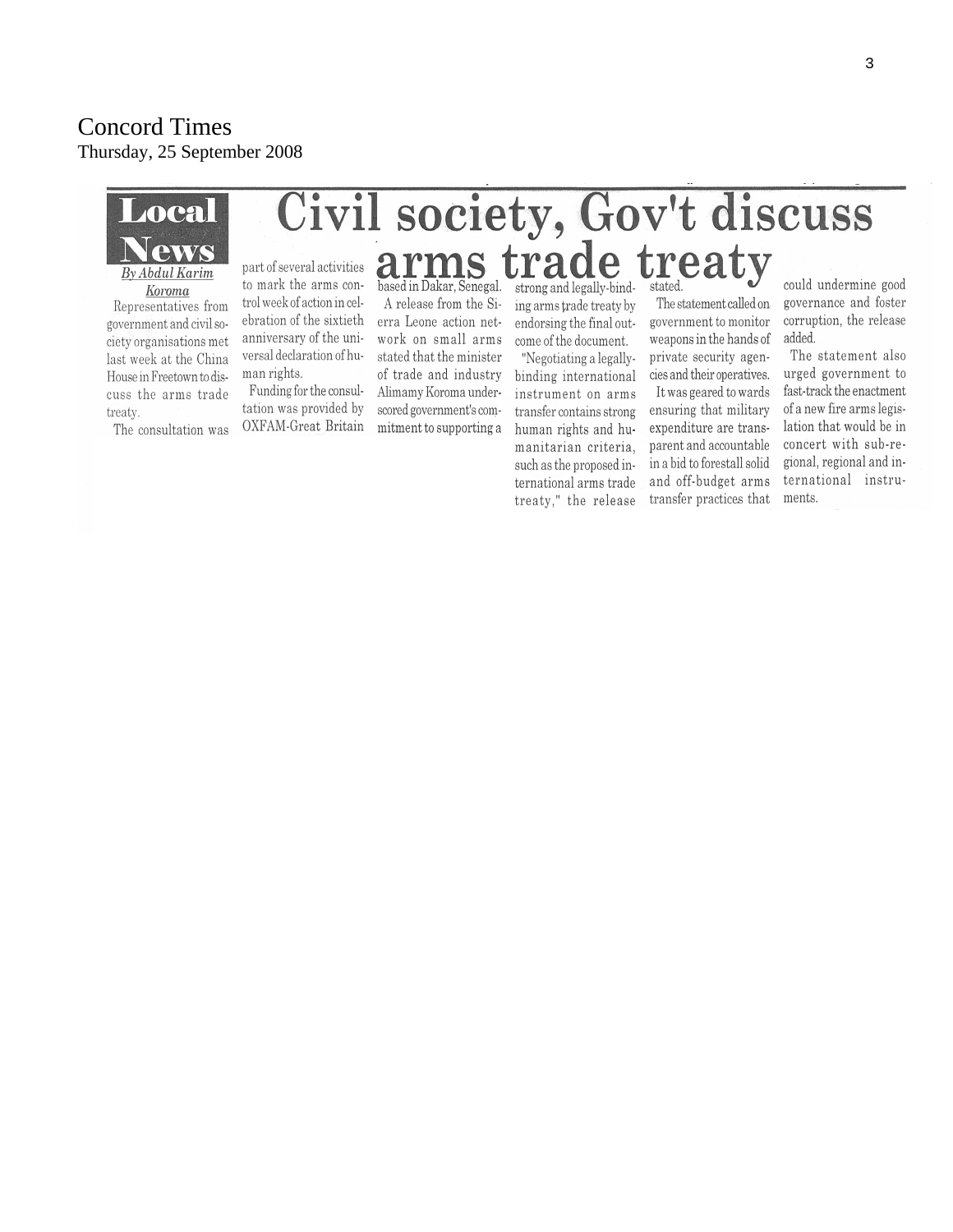## Concord Times Thursday, 25 September 2008



last week at the China House in Freetown to discuss the arms trade treaty.

man rights.

Funding for the consul-

tation was provided by

OXFAM-Great Britain

The consultation was

# stated that the minister of trade and industry Alimamy Koroma underscored government's commitment to supporting a

"Negotiating a legallybinding international instrument on arms transfer contains strong human rights and humanitarian criteria, such as the proposed international arms trade treaty," the release private security agencies and their operatives.

It was geared to wards ensuring that military expenditure are transparent and accountable in a bid to forestall solid and off-budget arms transfer practices that

could undermine good governance and foster corruption, the release added.

The statement also urged government to fast-track the enactment of a new fire arms legislation that would be in concert with sub-regional, regional and international instruments.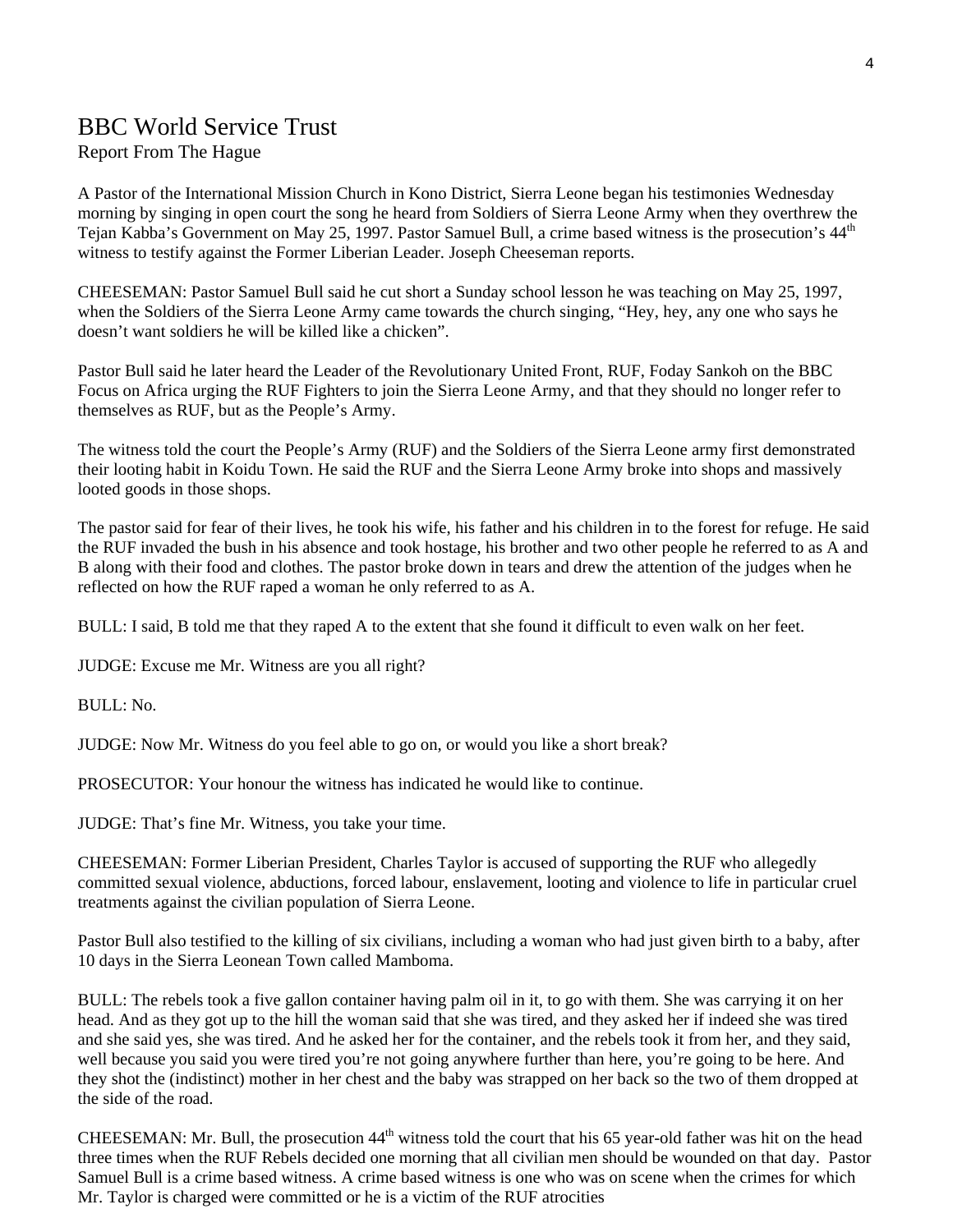# BBC World Service Trust

#### Report From The Hague

A Pastor of the International Mission Church in Kono District, Sierra Leone began his testimonies Wednesday morning by singing in open court the song he heard from Soldiers of Sierra Leone Army when they overthrew the Tejan Kabba's Government on May 25, 1997. Pastor Samuel Bull, a crime based witness is the prosecution's 44<sup>th</sup> witness to testify against the Former Liberian Leader. Joseph Cheeseman reports.

CHEESEMAN: Pastor Samuel Bull said he cut short a Sunday school lesson he was teaching on May 25, 1997, when the Soldiers of the Sierra Leone Army came towards the church singing, "Hey, hey, any one who says he doesn't want soldiers he will be killed like a chicken".

Pastor Bull said he later heard the Leader of the Revolutionary United Front, RUF, Foday Sankoh on the BBC Focus on Africa urging the RUF Fighters to join the Sierra Leone Army, and that they should no longer refer to themselves as RUF, but as the People's Army.

The witness told the court the People's Army (RUF) and the Soldiers of the Sierra Leone army first demonstrated their looting habit in Koidu Town. He said the RUF and the Sierra Leone Army broke into shops and massively looted goods in those shops.

The pastor said for fear of their lives, he took his wife, his father and his children in to the forest for refuge. He said the RUF invaded the bush in his absence and took hostage, his brother and two other people he referred to as A and B along with their food and clothes. The pastor broke down in tears and drew the attention of the judges when he reflected on how the RUF raped a woman he only referred to as A.

BULL: I said, B told me that they raped A to the extent that she found it difficult to even walk on her feet.

JUDGE: Excuse me Mr. Witness are you all right?

BULL: No.

JUDGE: Now Mr. Witness do you feel able to go on, or would you like a short break?

PROSECUTOR: Your honour the witness has indicated he would like to continue.

JUDGE: That's fine Mr. Witness, you take your time.

CHEESEMAN: Former Liberian President, Charles Taylor is accused of supporting the RUF who allegedly committed sexual violence, abductions, forced labour, enslavement, looting and violence to life in particular cruel treatments against the civilian population of Sierra Leone.

Pastor Bull also testified to the killing of six civilians, including a woman who had just given birth to a baby, after 10 days in the Sierra Leonean Town called Mamboma.

BULL: The rebels took a five gallon container having palm oil in it, to go with them. She was carrying it on her head. And as they got up to the hill the woman said that she was tired, and they asked her if indeed she was tired and she said yes, she was tired. And he asked her for the container, and the rebels took it from her, and they said, well because you said you were tired you're not going anywhere further than here, you're going to be here. And they shot the (indistinct) mother in her chest and the baby was strapped on her back so the two of them dropped at the side of the road.

CHEESEMAN: Mr. Bull, the prosecution  $44<sup>th</sup>$  witness told the court that his 65 year-old father was hit on the head three times when the RUF Rebels decided one morning that all civilian men should be wounded on that day. Pastor Samuel Bull is a crime based witness. A crime based witness is one who was on scene when the crimes for which Mr. Taylor is charged were committed or he is a victim of the RUF atrocities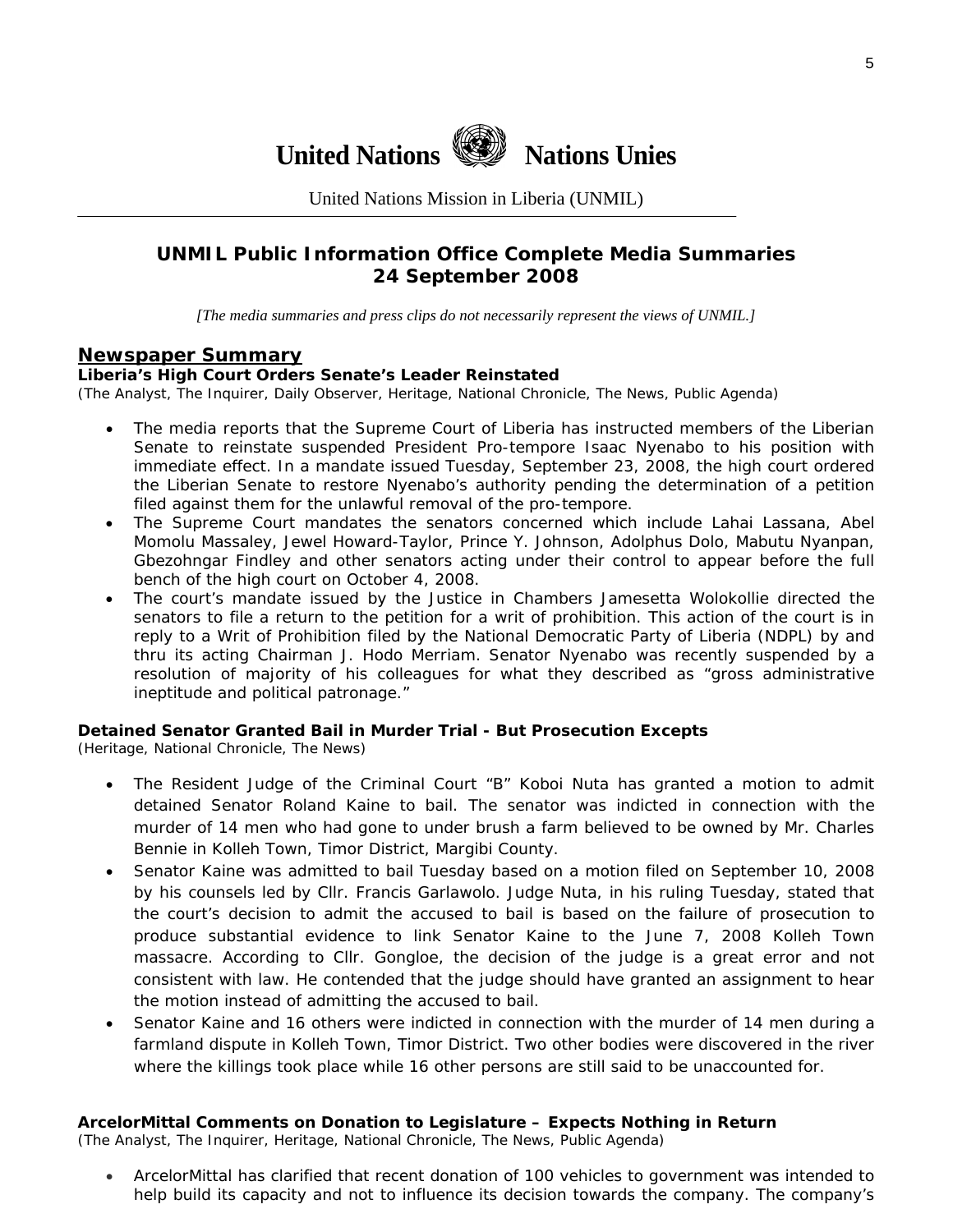

United Nations Mission in Liberia (UNMIL)

# **UNMIL Public Information Office Complete Media Summaries 24 September 2008**

*[The media summaries and press clips do not necessarily represent the views of UNMIL.]* 

#### **Newspaper Summary**

#### **Liberia's High Court Orders Senate's Leader Reinstated**

(The Analyst, The Inquirer, Daily Observer, Heritage, National Chronicle, The News, Public Agenda)

- The media reports that the Supreme Court of Liberia has instructed members of the Liberian Senate to reinstate suspended President Pro-tempore Isaac Nyenabo to his position with immediate effect. In a mandate issued Tuesday, September 23, 2008, the high court ordered the Liberian Senate to restore Nyenabo's authority pending the determination of a petition filed against them for the unlawful removal of the pro-tempore.
- The Supreme Court mandates the senators concerned which include Lahai Lassana, Abel Momolu Massaley, Jewel Howard-Taylor, Prince Y. Johnson, Adolphus Dolo, Mabutu Nyanpan, Gbezohngar Findley and other senators acting under their control to appear before the full bench of the high court on October 4, 2008.
- The court's mandate issued by the Justice in Chambers Jamesetta Wolokollie directed the senators to file a return to the petition for a writ of prohibition. This action of the court is in reply to a Writ of Prohibition filed by the National Democratic Party of Liberia (NDPL) by and thru its acting Chairman J. Hodo Merriam. Senator Nyenabo was recently suspended by a resolution of majority of his colleagues for what they described as "gross administrative ineptitude and political patronage."

#### **Detained Senator Granted Bail in Murder Trial - But Prosecution Excepts**

(Heritage, National Chronicle, The News)

- The Resident Judge of the Criminal Court "B" Koboi Nuta has granted a motion to admit detained Senator Roland Kaine to bail. The senator was indicted in connection with the murder of 14 men who had gone to under brush a farm believed to be owned by Mr. Charles Bennie in Kolleh Town, Timor District, Margibi County.
- Senator Kaine was admitted to bail Tuesday based on a motion filed on September 10, 2008 by his counsels led by Cllr. Francis Garlawolo. Judge Nuta, in his ruling Tuesday, stated that the court's decision to admit the accused to bail is based on the failure of prosecution to produce substantial evidence to link Senator Kaine to the June 7, 2008 Kolleh Town massacre. According to Cllr. Gongloe, the decision of the judge is a great error and not consistent with law. He contended that the judge should have granted an assignment to hear the motion instead of admitting the accused to bail.
- Senator Kaine and 16 others were indicted in connection with the murder of 14 men during a farmland dispute in Kolleh Town, Timor District. Two other bodies were discovered in the river where the killings took place while 16 other persons are still said to be unaccounted for.

#### **ArcelorMittal Comments on Donation to Legislature – Expects Nothing in Return**

(The Analyst, The Inquirer, Heritage, National Chronicle, The News, Public Agenda)

• ArcelorMittal has clarified that recent donation of 100 vehicles to government was intended to help build its capacity and not to influence its decision towards the company. The company's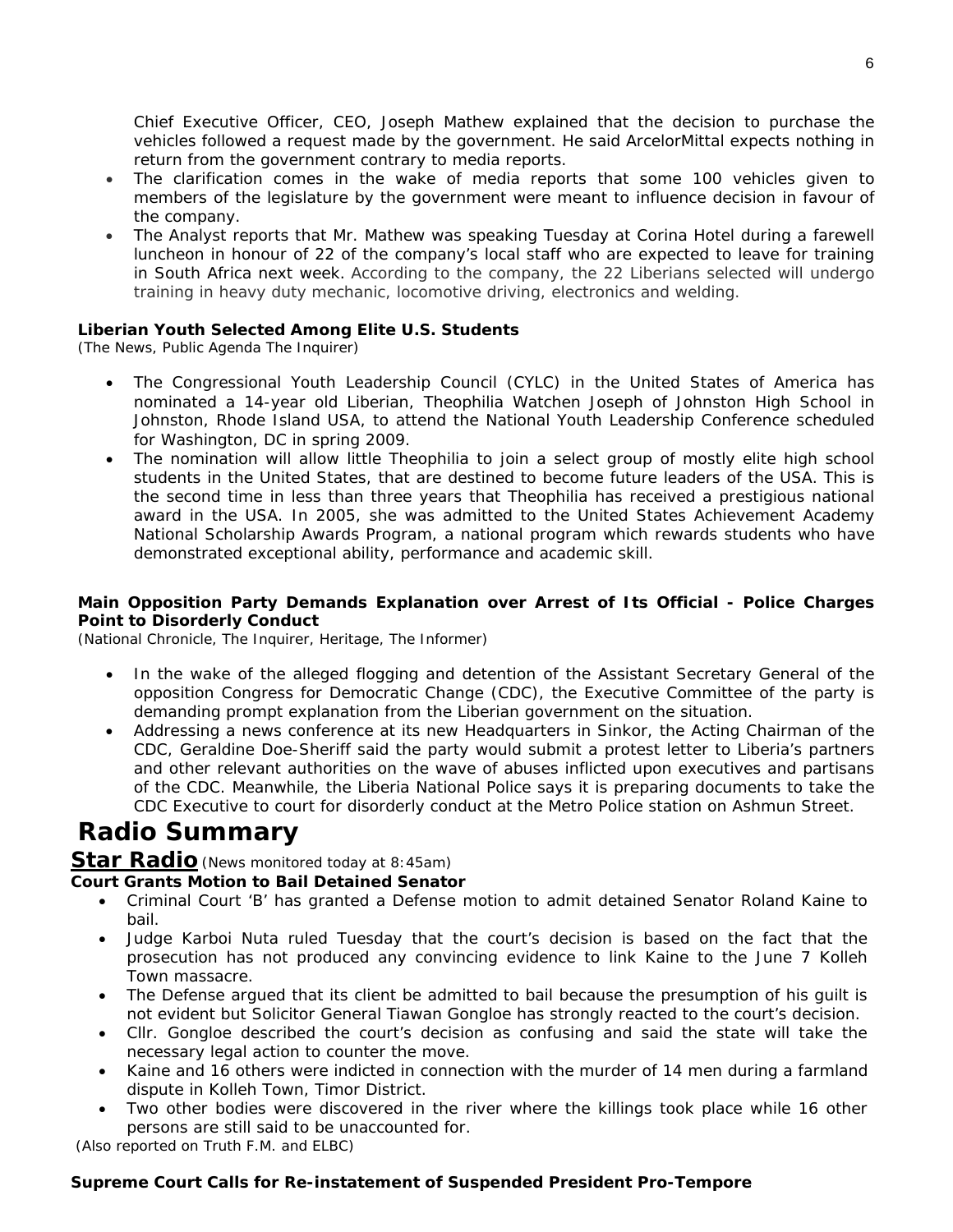Chief Executive Officer, CEO, Joseph Mathew explained that the decision to purchase the vehicles followed a request made by the government. He said ArcelorMittal expects nothing in return from the government contrary to media reports.

- The clarification comes in the wake of media reports that some 100 vehicles given to members of the legislature by the government were meant to influence decision in favour of the company.
- The Analyst reports that Mr. Mathew was speaking Tuesday at Corina Hotel during a farewell luncheon in honour of 22 of the company's local staff who are expected to leave for training in South Africa next week. According to the company, the 22 Liberians selected will undergo training in heavy duty mechanic, locomotive driving, electronics and welding.

#### **Liberian Youth Selected Among Elite U.S. Students**

(The News, Public Agenda The Inquirer)

- The Congressional Youth Leadership Council (CYLC) in the United States of America has nominated a 14-year old Liberian, Theophilia Watchen Joseph of Johnston High School in Johnston, Rhode Island USA, to attend the National Youth Leadership Conference scheduled for Washington, DC in spring 2009.
- The nomination will allow little Theophilia to join a select group of mostly elite high school students in the United States, that are destined to become future leaders of the USA. This is the second time in less than three years that Theophilia has received a prestigious national award in the USA. In 2005, she was admitted to the United States Achievement Academy National Scholarship Awards Program, a national program which rewards students who have demonstrated exceptional ability, performance and academic skill.

#### **Main Opposition Party Demands Explanation over Arrest of Its Official - Police Charges Point to Disorderly Conduct**

(National Chronicle, The Inquirer, Heritage, The Informer)

- In the wake of the alleged flogging and detention of the Assistant Secretary General of the opposition Congress for Democratic Change (CDC), the Executive Committee of the party is demanding prompt explanation from the Liberian government on the situation.
- Addressing a news conference at its new Headquarters in Sinkor, the Acting Chairman of the CDC, Geraldine Doe-Sheriff said the party would submit a protest letter to Liberia's partners and other relevant authorities on the wave of abuses inflicted upon executives and partisans of the CDC. Meanwhile, the Liberia National Police says it is preparing documents to take the CDC Executive to court for disorderly conduct at the Metro Police station on Ashmun Street.

# **Radio Summary**

#### **Star Radio***(News monitored today at 8:45am)*

#### **Court Grants Motion to Bail Detained Senator**

- Criminal Court 'B' has granted a Defense motion to admit detained Senator Roland Kaine to bail.
- Judge Karboi Nuta ruled Tuesday that the court's decision is based on the fact that the prosecution has not produced any convincing evidence to link Kaine to the June 7 Kolleh Town massacre.
- The Defense argued that its client be admitted to bail because the presumption of his quilt is not evident but Solicitor General Tiawan Gongloe has strongly reacted to the court's decision.
- Cllr. Gongloe described the court's decision as confusing and said the state will take the necessary legal action to counter the move.
- Kaine and 16 others were indicted in connection with the murder of 14 men during a farmland dispute in Kolleh Town, Timor District.
- Two other bodies were discovered in the river where the killings took place while 16 other persons are still said to be unaccounted for.

 *(Also reported on Truth F.M. and ELBC)* 

#### **Supreme Court Calls for Re-instatement of Suspended President Pro-Tempore**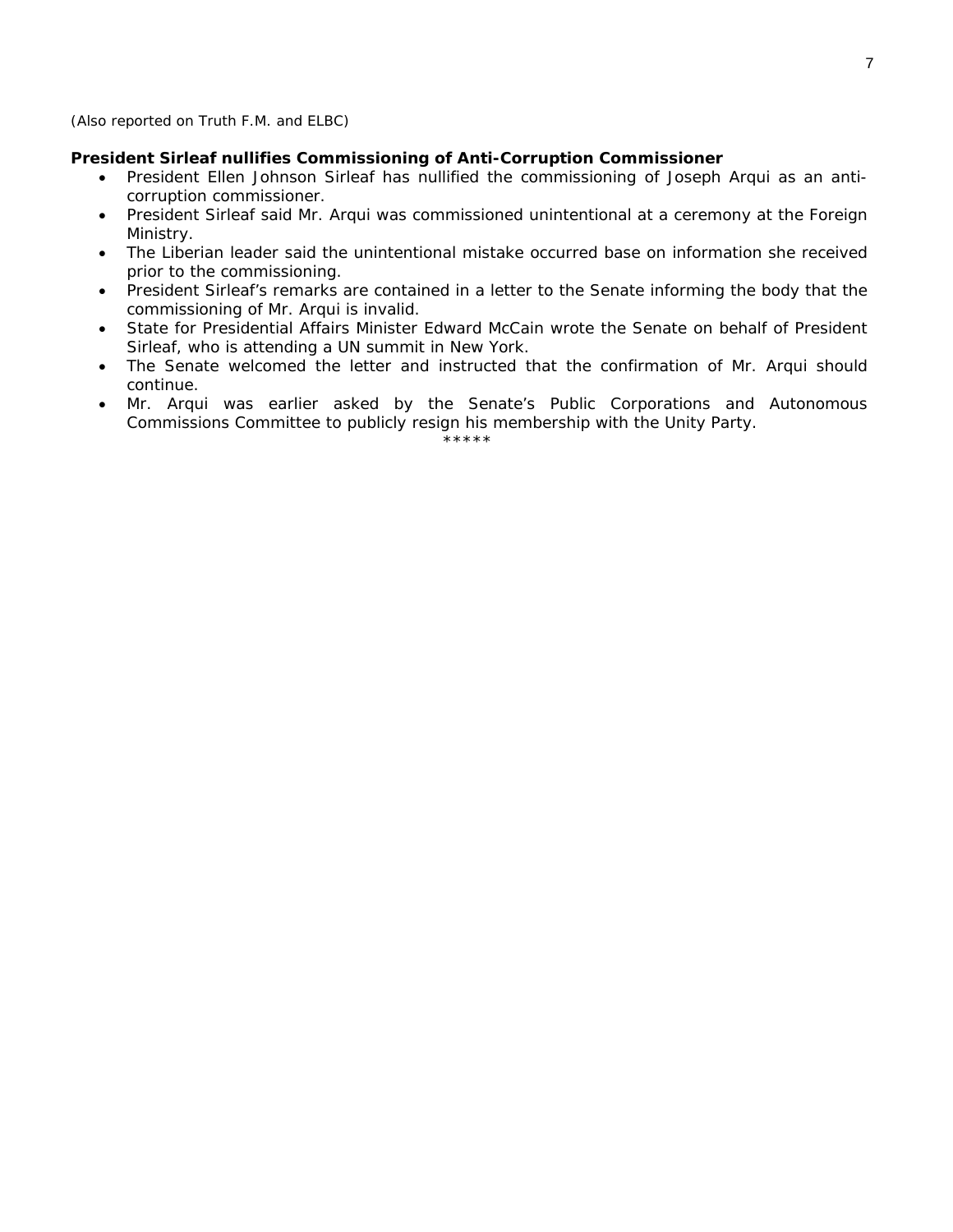#### *(Also reported on Truth F.M. and ELBC)*

#### **President Sirleaf nullifies Commissioning of Anti-Corruption Commissioner**

- President Ellen Johnson Sirleaf has nullified the commissioning of Joseph Arqui as an anticorruption commissioner.
- President Sirleaf said Mr. Arqui was commissioned unintentional at a ceremony at the Foreign Ministry.
- The Liberian leader said the unintentional mistake occurred base on information she received prior to the commissioning.
- President Sirleaf's remarks are contained in a letter to the Senate informing the body that the commissioning of Mr. Arqui is invalid.
- State for Presidential Affairs Minister Edward McCain wrote the Senate on behalf of President Sirleaf, who is attending a UN summit in New York.
- The Senate welcomed the letter and instructed that the confirmation of Mr. Arqui should continue.
- Mr. Arqui was earlier asked by the Senate's Public Corporations and Autonomous Commissions Committee to publicly resign his membership with the Unity Party.

\*\*\*\*\*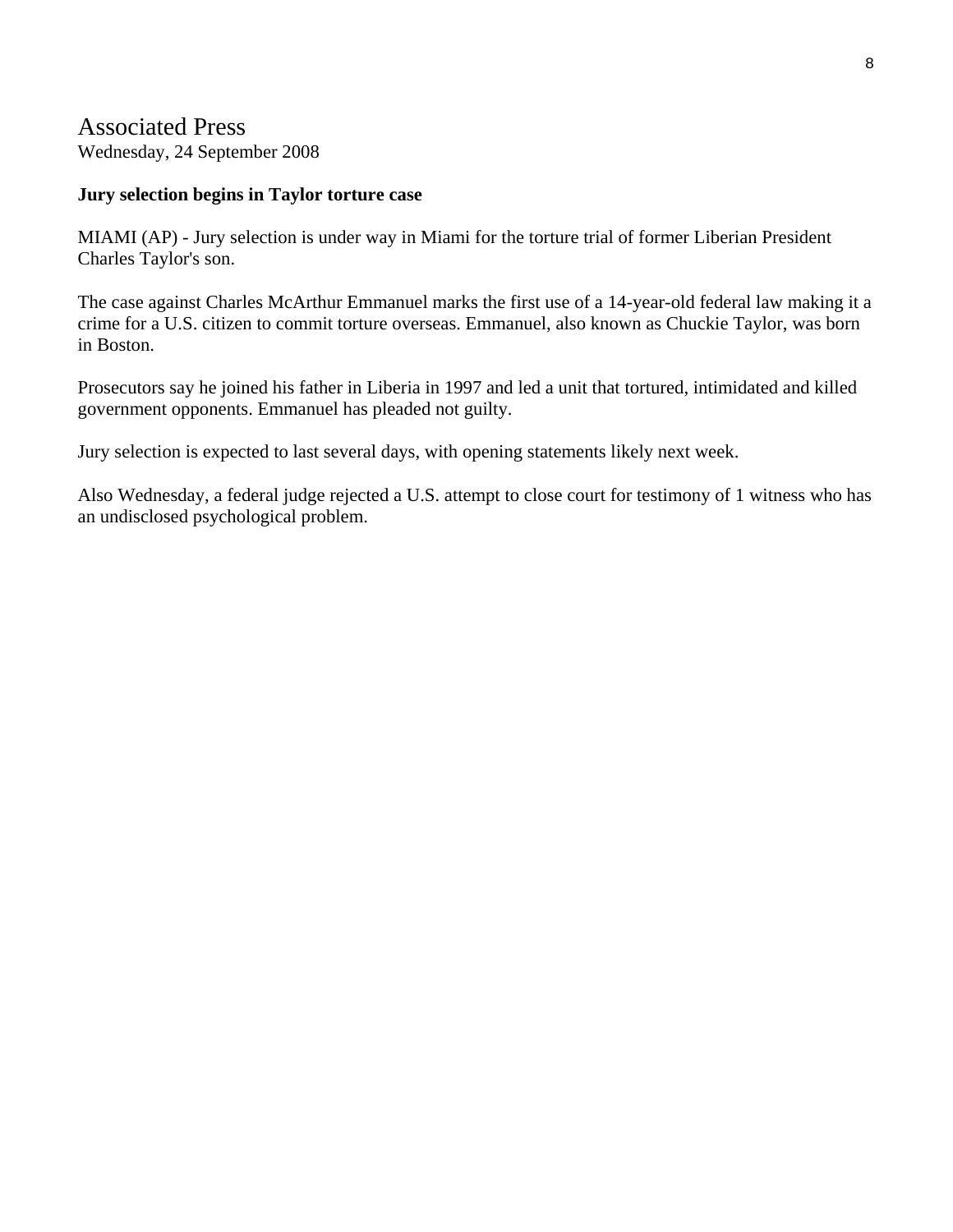# Associated Press

Wednesday, 24 September 2008

### **Jury selection begins in Taylor torture case**

MIAMI (AP) - Jury selection is under way in Miami for the torture trial of former Liberian President Charles Taylor's son.

The case against Charles McArthur Emmanuel marks the first use of a 14-year-old federal law making it a crime for a U.S. citizen to commit torture overseas. Emmanuel, also known as Chuckie Taylor, was born in Boston.

Prosecutors say he joined his father in Liberia in 1997 and led a unit that tortured, intimidated and killed government opponents. Emmanuel has pleaded not guilty.

Jury selection is expected to last several days, with opening statements likely next week.

Also Wednesday, a federal judge rejected a U.S. attempt to close court for testimony of 1 witness who has an undisclosed psychological problem.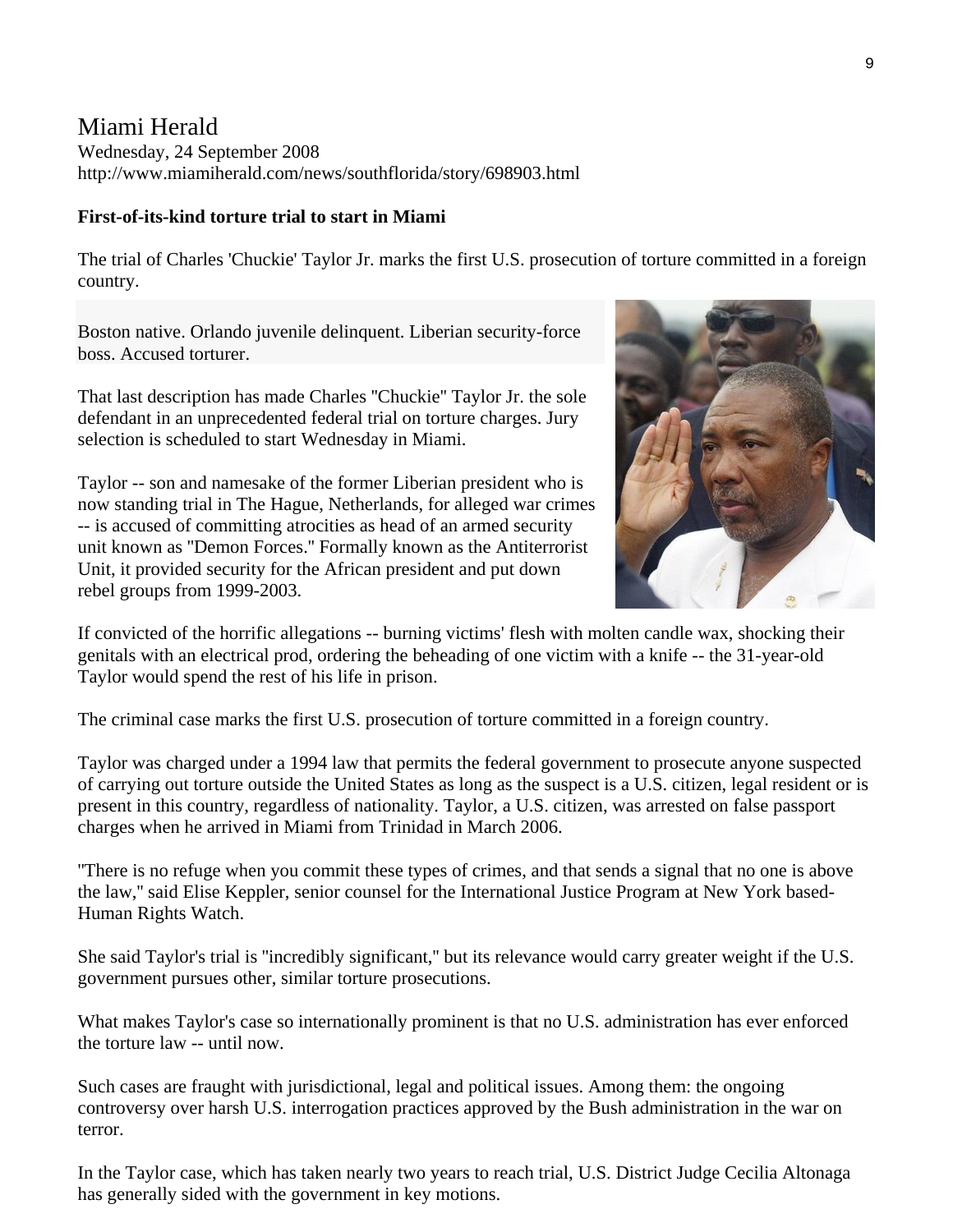# Miami Herald

Wednesday, 24 September 2008 http://www.miamiherald.com/news/southflorida/story/698903.html

### **First-of-its-kind torture trial to start in Miami**

The trial of Charles 'Chuckie' Taylor Jr. marks the first U.S. prosecution of torture committed in a foreign country.

Boston native. Orlando juvenile delinquent. Liberian security-force boss. Accused torturer.

That last description has made Charles ''Chuckie'' Taylor Jr. the sole defendant in an unprecedented federal trial on torture charges. Jury selection is scheduled to start Wednesday in Miami.

Taylor -- son and namesake of the former Liberian president who is now standing trial in The Hague, Netherlands, for alleged war crimes -- is accused of committing atrocities as head of an armed security unit known as ''Demon Forces.'' Formally known as the Antiterrorist Unit, it provided security for the African president and put down rebel groups from 1999-2003.



If convicted of the horrific allegations -- burning victims' flesh with molten candle wax, shocking their genitals with an electrical prod, ordering the beheading of one victim with a knife -- the 31-year-old Taylor would spend the rest of his life in prison.

The criminal case marks the first U.S. prosecution of torture committed in a foreign country.

Taylor was charged under a 1994 law that permits the federal government to prosecute anyone suspected of carrying out torture outside the United States as long as the suspect is a U.S. citizen, legal resident or is present in this country, regardless of nationality. Taylor, a U.S. citizen, was arrested on false passport charges when he arrived in Miami from Trinidad in March 2006.

''There is no refuge when you commit these types of crimes, and that sends a signal that no one is above the law,'' said Elise Keppler, senior counsel for the International Justice Program at New York based-Human Rights Watch.

She said Taylor's trial is ''incredibly significant,'' but its relevance would carry greater weight if the U.S. government pursues other, similar torture prosecutions.

What makes Taylor's case so internationally prominent is that no U.S. administration has ever enforced the torture law -- until now.

Such cases are fraught with jurisdictional, legal and political issues. Among them: the ongoing controversy over harsh U.S. interrogation practices approved by the Bush administration in the war on terror.

In the Taylor case, which has taken nearly two years to reach trial, U.S. District Judge Cecilia Altonaga has generally sided with the government in key motions.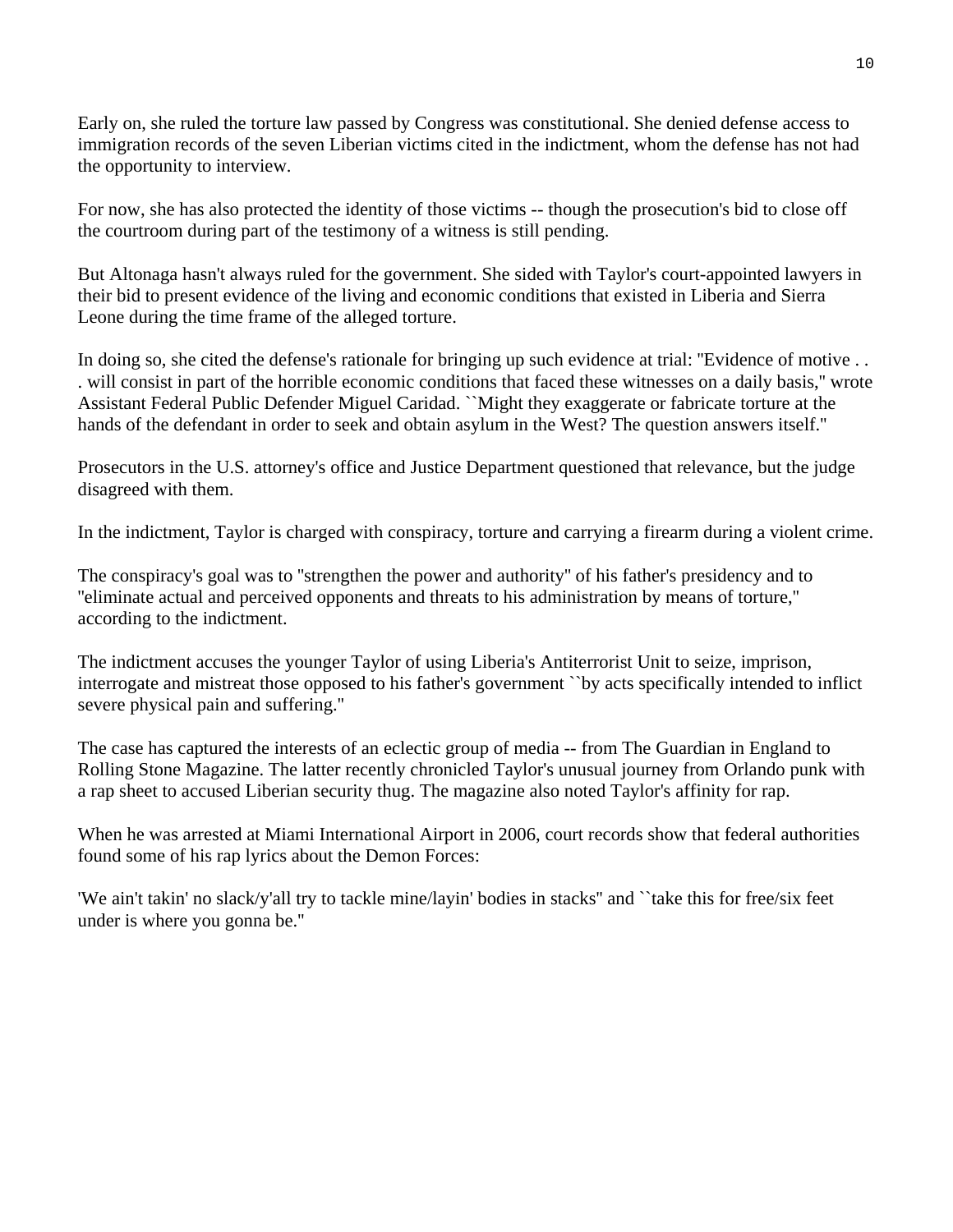Early on, she ruled the torture law passed by Congress was constitutional. She denied defense access to immigration records of the seven Liberian victims cited in the indictment, whom the defense has not had the opportunity to interview.

For now, she has also protected the identity of those victims -- though the prosecution's bid to close off the courtroom during part of the testimony of a witness is still pending.

But Altonaga hasn't always ruled for the government. She sided with Taylor's court-appointed lawyers in their bid to present evidence of the living and economic conditions that existed in Liberia and Sierra Leone during the time frame of the alleged torture.

In doing so, she cited the defense's rationale for bringing up such evidence at trial: ''Evidence of motive . . . will consist in part of the horrible economic conditions that faced these witnesses on a daily basis,'' wrote Assistant Federal Public Defender Miguel Caridad. ``Might they exaggerate or fabricate torture at the hands of the defendant in order to seek and obtain asylum in the West? The question answers itself.''

Prosecutors in the U.S. attorney's office and Justice Department questioned that relevance, but the judge disagreed with them.

In the indictment, Taylor is charged with conspiracy, torture and carrying a firearm during a violent crime.

The conspiracy's goal was to ''strengthen the power and authority'' of his father's presidency and to ''eliminate actual and perceived opponents and threats to his administration by means of torture,'' according to the indictment.

The indictment accuses the younger Taylor of using Liberia's Antiterrorist Unit to seize, imprison, interrogate and mistreat those opposed to his father's government ``by acts specifically intended to inflict severe physical pain and suffering.''

The case has captured the interests of an eclectic group of media -- from The Guardian in England to Rolling Stone Magazine. The latter recently chronicled Taylor's unusual journey from Orlando punk with a rap sheet to accused Liberian security thug. The magazine also noted Taylor's affinity for rap.

When he was arrested at Miami International Airport in 2006, court records show that federal authorities found some of his rap lyrics about the Demon Forces:

'We ain't takin' no slack/y'all try to tackle mine/layin' bodies in stacks'' and ``take this for free/six feet under is where you gonna be.''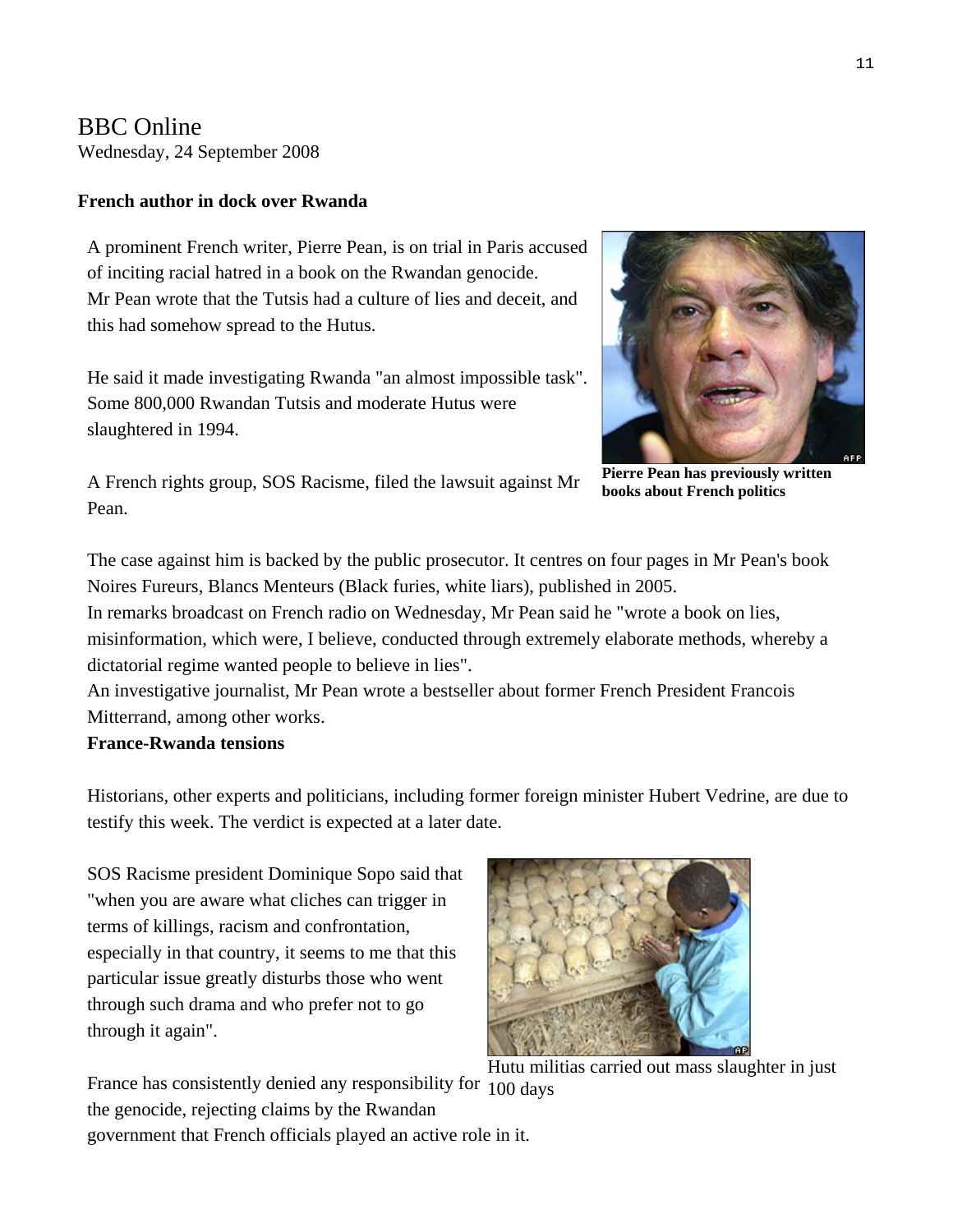# BBC Online Wednesday, 24 September 2008

# **French author in dock over Rwanda**

A prominent French writer, Pierre Pean, is on trial in Paris accused of inciting racial hatred in a book on the Rwandan genocide. Mr Pean wrote that the Tutsis had a culture of lies and deceit, and this had somehow spread to the Hutus.

He said it made investigating Rwanda "an almost impossible task". Some 800,000 Rwandan Tutsis and moderate Hutus were slaughtered in 1994.



A French rights group, SOS Racisme, filed the lawsuit against Mr Pean.

**Pierre Pean has previously written books about French politics** 

The case against him is backed by the public prosecutor. It centres on four pages in Mr Pean's book Noires Fureurs, Blancs Menteurs (Black furies, white liars), published in 2005.

In remarks broadcast on French radio on Wednesday, Mr Pean said he "wrote a book on lies, misinformation, which were, I believe, conducted through extremely elaborate methods, whereby a dictatorial regime wanted people to believe in lies".

An investigative journalist, Mr Pean wrote a bestseller about former French President Francois Mitterrand, among other works.

## **France-Rwanda tensions**

Historians, other experts and politicians, including former foreign minister Hubert Vedrine, are due to testify this week. The verdict is expected at a later date.

SOS Racisme president Dominique Sopo said that "when you are aware what cliches can trigger in terms of killings, racism and confrontation, especially in that country, it seems to me that this particular issue greatly disturbs those who went through such drama and who prefer not to go through it again".



Hutu militias carried out mass slaughter in just

France has consistently denied any responsibility for 100 days the genocide, rejecting claims by the Rwandan government that French officials played an active role in it.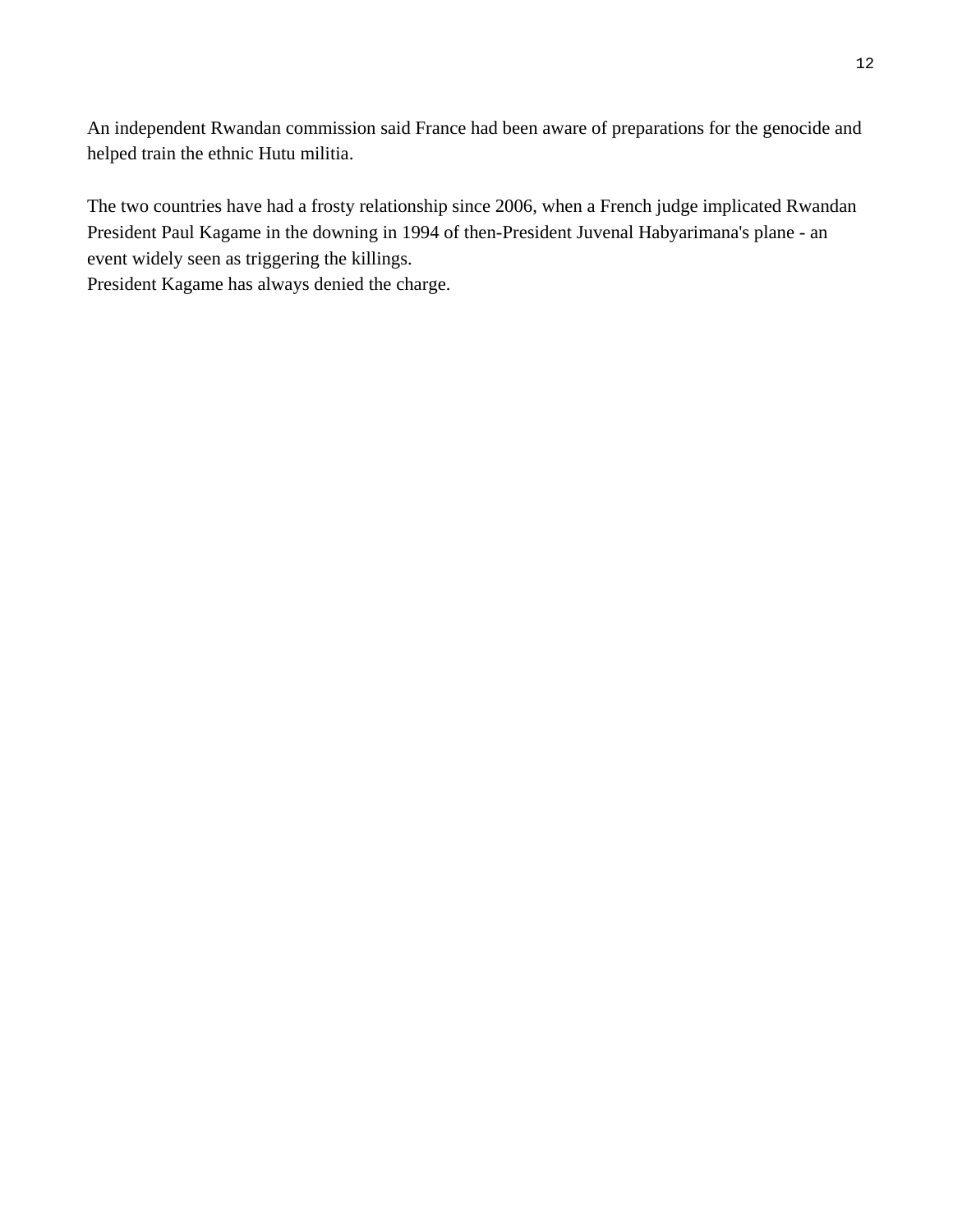An independent Rwandan commission said France had been aware of preparations for the genocide and helped train the ethnic Hutu militia.

The two countries have had a frosty relationship since 2006, when a French judge implicated Rwandan President Paul Kagame in the downing in 1994 of then-President Juvenal Habyarimana's plane - an event widely seen as triggering the killings.

President Kagame has always denied the charge.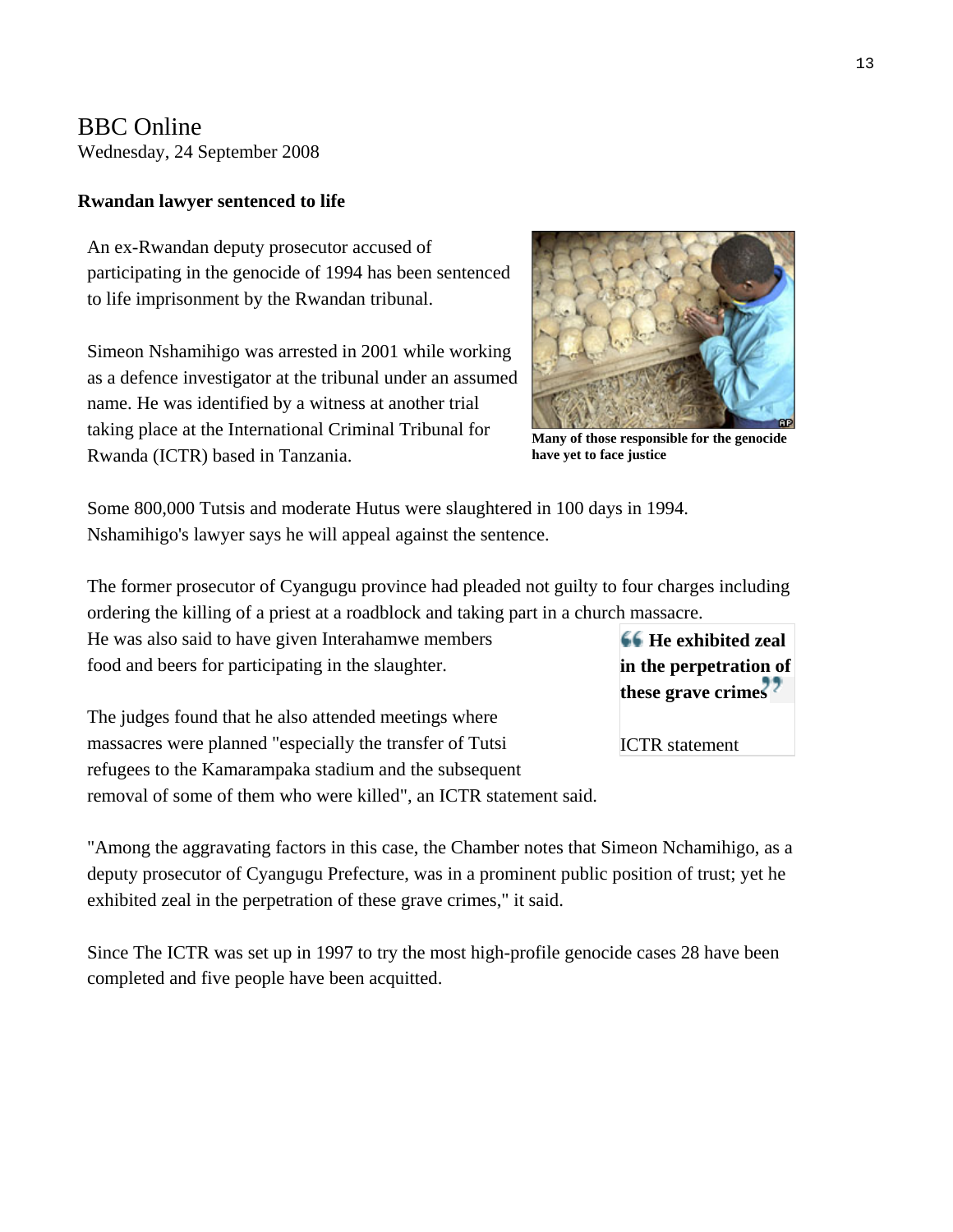BBC Online Wednesday, 24 September 2008

#### **Rwandan lawyer sentenced to life**

An ex-Rwandan deputy prosecutor accused of participating in the genocide of 1994 has been sentenced to life imprisonment by the Rwandan tribunal.

Simeon Nshamihigo was arrested in 2001 while working as a defence investigator at the tribunal under an assumed name. He was identified by a witness at another trial taking place at the International Criminal Tribunal for Rwanda (ICTR) based in Tanzania.



**Many of those responsible for the genocide have yet to face justice** 

Some 800,000 Tutsis and moderate Hutus were slaughtered in 100 days in 1994. Nshamihigo's lawyer says he will appeal against the sentence.

The former prosecutor of Cyangugu province had pleaded not guilty to four charges including ordering the killing of a priest at a roadblock and taking part in a church massacre.

He was also said to have given Interahamwe members food and beers for participating in the slaughter.

The judges found that he also attended meetings where massacres were planned "especially the transfer of Tutsi refugees to the Kamarampaka stadium and the subsequent removal of some of them who were killed", an ICTR statement said.

"Among the aggravating factors in this case, the Chamber notes that Simeon Nchamihigo, as a deputy prosecutor of Cyangugu Prefecture, was in a prominent public position of trust; yet he exhibited zeal in the perpetration of these grave crimes," it said.

Since The ICTR was set up in 1997 to try the most high-profile genocide cases 28 have been completed and five people have been acquitted.

**He exhibited zeal in the perpetration of these grave crimes**

ICTR statement